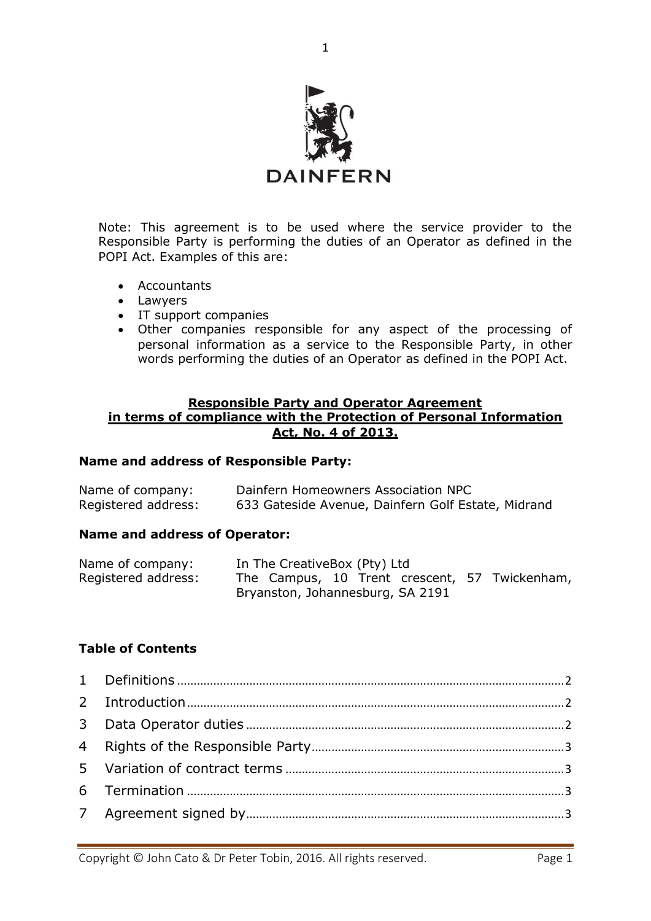

Note: This agreement is to be used where the service provider to the Responsible Party is performing the duties of an Operator as defined in the POPI Act. Examples of this are:

- Accountants
- Lawyers
- IT support companies
- Other companies responsible for any aspect of the processing of personal information as a service to the Responsible Party, in other words performing the duties of an Operator as defined in the POPI Act.

## **Responsible Party and Operator Agreement in terms of compliance with the Protection of Personal Information Act, No. 4 of 2013.**

## **Name and address of Responsible Party:**

| Name of company:    | Dainfern Homeowners Association NPC                |
|---------------------|----------------------------------------------------|
| Registered address: | 633 Gateside Avenue, Dainfern Golf Estate, Midrand |

### **Name and address of Operator:**

| Name of company:    |                                  | In The CreativeBox (Pty) Ltd |  |  |  |                                               |
|---------------------|----------------------------------|------------------------------|--|--|--|-----------------------------------------------|
| Registered address: |                                  |                              |  |  |  | The Campus, 10 Trent crescent, 57 Twickenham, |
|                     | Bryanston, Johannesburg, SA 2191 |                              |  |  |  |                                               |

# **Table of Contents**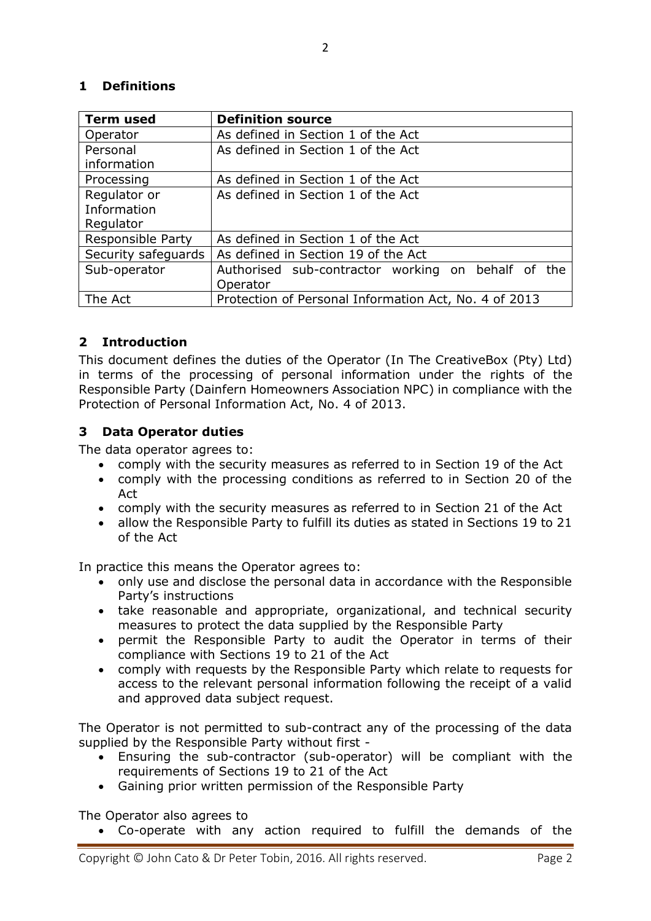# <span id="page-1-0"></span>**1 Definitions**

| <b>Term used</b>         | <b>Definition source</b>                              |
|--------------------------|-------------------------------------------------------|
| Operator                 | As defined in Section 1 of the Act                    |
| Personal                 | As defined in Section 1 of the Act                    |
| information              |                                                       |
| Processing               | As defined in Section 1 of the Act                    |
| Regulator or             | As defined in Section 1 of the Act                    |
| Information              |                                                       |
| Regulator                |                                                       |
| <b>Responsible Party</b> | As defined in Section 1 of the Act                    |
| Security safeguards      | As defined in Section 19 of the Act                   |
| Sub-operator             | Authorised sub-contractor working on behalf of the    |
|                          | Operator                                              |
| The Act                  | Protection of Personal Information Act, No. 4 of 2013 |

# <span id="page-1-1"></span>**2 Introduction**

This document defines the duties of the Operator (In The CreativeBox (Pty) Ltd) in terms of the processing of personal information under the rights of the Responsible Party (Dainfern Homeowners Association NPC) in compliance with the Protection of Personal Information Act, No. 4 of 2013.

# <span id="page-1-2"></span>**3 Data Operator duties**

The data operator agrees to:

- comply with the security measures as referred to in Section 19 of the Act
- comply with the processing conditions as referred to in Section 20 of the Act
- comply with the security measures as referred to in Section 21 of the Act
- allow the Responsible Party to fulfill its duties as stated in Sections 19 to 21 of the Act

In practice this means the Operator agrees to:

- only use and disclose the personal data in accordance with the Responsible Party's instructions
- take reasonable and appropriate, organizational, and technical security measures to protect the data supplied by the Responsible Party
- permit the Responsible Party to audit the Operator in terms of their compliance with Sections 19 to 21 of the Act
- comply with requests by the Responsible Party which relate to requests for access to the relevant personal information following the receipt of a valid and approved data subject request.

The Operator is not permitted to sub-contract any of the processing of the data supplied by the Responsible Party without first -

- Ensuring the sub-contractor (sub-operator) will be compliant with the requirements of Sections 19 to 21 of the Act
- Gaining prior written permission of the Responsible Party

The Operator also agrees to

• Co-operate with any action required to fulfill the demands of the